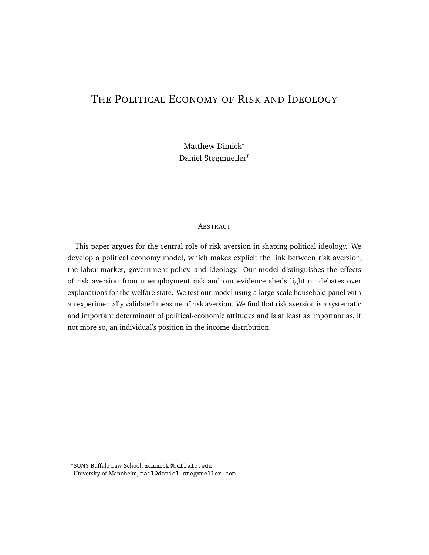# THE POLITICAL ECONOMY OF RISK AND IDEOLOGY

Matthew Dimick<sup>\*</sup> Daniel Stegmueller†

# **ABSTRACT**

This paper argues for the central role of risk aversion in shaping political ideology. We develop a political economy model, which makes explicit the link between risk aversion, the labor market, government policy, and ideology. Our model distinguishes the effects of risk aversion from unemployment risk and our evidence sheds light on debates over explanations for the welfare state. We test our model using a large-scale household panel with an experimentally validated measure of risk aversion. We find that risk aversion is a systematic and important determinant of political-economic attitudes and is at least as important as, if not more so, an individual's position in the income distribution.

<sup>⇤</sup> SUNY Buffalo Law School, mdimick@buffalo.edu

 $^\dagger$ University of Mannheim, mail@daniel-stegmueller.com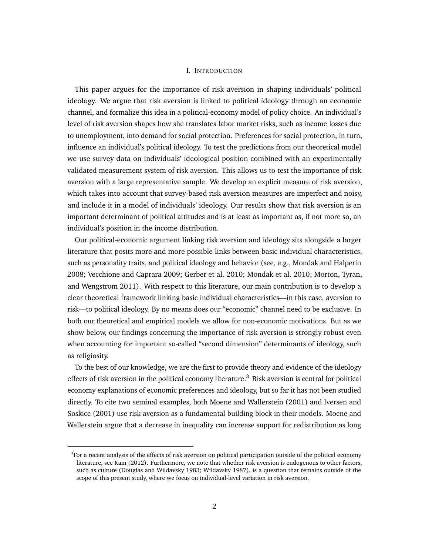## I. INTRODUCTION

This paper argues for the importance of risk aversion in shaping individuals' political ideology. We argue that risk aversion is linked to political ideology through an economic channel, and formalize this idea in a political-economy model of policy choice. An individual's level of risk aversion shapes how she translates labor market risks, such as income losses due to unemployment, into demand for social protection. Preferences for social protection, in turn, influence an individual's political ideology. To test the predictions from our theoretical model we use survey data on individuals' ideological position combined with an experimentally validated measurement system of risk aversion. This allows us to test the importance of risk aversion with a large representative sample. We develop an explicit measure of risk aversion, which takes into account that survey-based risk aversion measures are imperfect and noisy, and include it in a model of individuals' ideology. Our results show that risk aversion is an important determinant of political attitudes and is at least as important as, if not more so, an individual's position in the income distribution.

Our political-economic argument linking risk aversion and ideology sits alongside a larger literature that posits more and more possible links between basic individual characteristics, such as personality traits, and political ideology and behavior (see, e.g., Mondak and Halperin 2008; Vecchione and Caprara 2009; Gerber et al. 2010; Mondak et al. 2010; Morton, Tyran, and Wengstrom 2011). With respect to this literature, our main contribution is to develop a clear theoretical framework linking basic individual characteristics—in this case, aversion to risk—to political ideology. By no means does our "economic" channel need to be exclusive. In both our theoretical and empirical models we allow for non-economic motivations. But as we show below, our findings concerning the importance of risk aversion is strongly robust even when accounting for important so-called "second dimension" determinants of ideology, such as religiosity.

To the best of our knowledge, we are the first to provide theory and evidence of the ideology effects of risk aversion in the political economy literature.<sup>3</sup> Risk aversion is central for political economy explanations of economic preferences and ideology, but so far it has not been studied directly. To cite two seminal examples, both Moene and Wallerstein (2001) and Iversen and Soskice (2001) use risk aversion as a fundamental building block in their models. Moene and Wallerstein argue that a decrease in inequality can increase support for redistribution as long

 ${}^{3}$ For a recent analysis of the effects of risk aversion on political participation outside of the political economy literature, see Kam (2012). Furthermore, we note that whether risk aversion is endogenous to other factors, such as culture (Douglas and Wildavsky 1983; Wildavsky 1987), is a question that remains outside of the scope of this present study, where we focus on individual-level variation in risk aversion.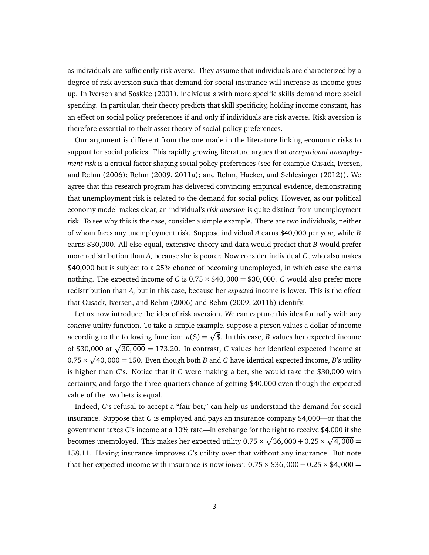as individuals are sufficiently risk averse. They assume that individuals are characterized by a degree of risk aversion such that demand for social insurance will increase as income goes up. In Iversen and Soskice (2001), individuals with more specific skills demand more social spending. In particular, their theory predicts that skill specificity, holding income constant, has an effect on social policy preferences if and only if individuals are risk averse. Risk aversion is therefore essential to their asset theory of social policy preferences.

Our argument is different from the one made in the literature linking economic risks to support for social policies. This rapidly growing literature argues that *occupational unemployment risk* is a critical factor shaping social policy preferences (see for example Cusack, Iversen, and Rehm (2006); Rehm (2009, 2011a); and Rehm, Hacker, and Schlesinger (2012)). We agree that this research program has delivered convincing empirical evidence, demonstrating that unemployment risk is related to the demand for social policy. However, as our political economy model makes clear, an individual's *risk aversion* is quite distinct from unemployment risk. To see why this is the case, consider a simple example. There are two individuals, neither of whom faces any unemployment risk. Suppose individual *A* earns \$40,000 per year, while *B* earns \$30,000. All else equal, extensive theory and data would predict that *B* would prefer more redistribution than *A*, because she is poorer. Now consider individual *C*, who also makes \$40,000 but is subject to a 25% chance of becoming unemployed, in which case she earns nothing. The expected income of *C* is  $0.75 \times $40,000 = $30,000$ . *C* would also prefer more redistribution than *A*, but in this case, because her *expected* income is lower. This is the effect that Cusack, Iversen, and Rehm (2006) and Rehm (2009, 2011b) identify.

Let us now introduce the idea of risk aversion. We can capture this idea formally with any *concave* utility function. To take a simple example, suppose a person values a dollar of income according to the following function:  $u(\hat{s}) = \sqrt{\hat{s}}$ . In this case, *B* values her expected income of \$30,000 at  $\sqrt{30,000} = 173.20$ . In contrast, *C* values her identical expected income at  $0.75 \times \sqrt{40,000} = 150$ . Even though both *B* and *C* have identical expected income, *B*'s utility is higher than *C*'s. Notice that if *C* were making a bet, she would take the \$30,000 with certainty, and forgo the three-quarters chance of getting \$40,000 even though the expected value of the two bets is equal.

Indeed, *C*'s refusal to accept a "fair bet," can help us understand the demand for social insurance. Suppose that *C* is employed and pays an insurance company \$4,000—or that the government taxes *C*'s income at a 10% rate—in exchange for the right to receive \$4,000 if she becomes unemployed. This makes her expected utility  $0.75 \times \sqrt{36,000} + 0.25 \times \sqrt{4,000} =$ 158.11. Having insurance improves *C*'s utility over that without any insurance. But note that her expected income with insurance is now *lower*:  $0.75 \times $36,000 + 0.25 \times $4,000 =$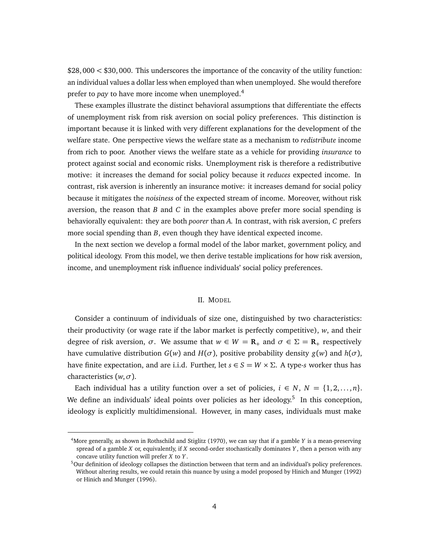\$28, 000 *<* \$30, 000. This underscores the importance of the concavity of the utility function: an individual values a dollar less when employed than when unemployed. She would therefore prefer to *pay* to have more income when unemployed.4

These examples illustrate the distinct behavioral assumptions that differentiate the effects of unemployment risk from risk aversion on social policy preferences. This distinction is important because it is linked with very different explanations for the development of the welfare state. One perspective views the welfare state as a mechanism to *redistribute* income from rich to poor. Another views the welfare state as a vehicle for providing *insurance* to protect against social and economic risks. Unemployment risk is therefore a redistributive motive: it increases the demand for social policy because it *reduces* expected income. In contrast, risk aversion is inherently an insurance motive: it increases demand for social policy because it mitigates the *noisiness* of the expected stream of income. Moreover, without risk aversion, the reason that *B* and *C* in the examples above prefer more social spending is behaviorally equivalent: they are both *poorer* than *A*. In contrast, with risk aversion, *C* prefers more social spending than *B*, even though they have identical expected income.

In the next section we develop a formal model of the labor market, government policy, and political ideology. From this model, we then derive testable implications for how risk aversion, income, and unemployment risk influence individuals' social policy preferences.

## II. MODEL

Consider a continuum of individuals of size one, distinguished by two characteristics: their productivity (or wage rate if the labor market is perfectly competitive), *w*, and their degree of risk aversion,  $\sigma$ . We assume that  $w \in W = \mathbf{R}_+$  and  $\sigma \in \Sigma = \mathbf{R}_+$  respectively have cumulative distribution  $G(w)$  and  $H(\sigma)$ , positive probability density  $g(w)$  and  $h(\sigma)$ , have finite expectation, and are i.i.d. Further, let  $s \in S = W \times \Sigma$ . A type-*s* worker thus has characteristics  $(w, \sigma)$ .

Each individual has a utility function over a set of policies,  $i \in N$ ,  $N = \{1, 2, ..., n\}$ . We define an individuals' ideal points over policies as her ideology.<sup>5</sup> In this conception, ideology is explicitly multidimensional. However, in many cases, individuals must make

<sup>4</sup>More generally, as shown in Rothschild and Stiglitz (1970), we can say that if a gamble *Y* is a mean-preserving spread of a gamble *X* or, equivalently, if *X* second-order stochastically dominates *Y* , then a person with any concave utility function will prefer *X* to *Y* .

 $5$ Our definition of ideology collapses the distinction between that term and an individual's policy preferences. Without altering results, we could retain this nuance by using a model proposed by Hinich and Munger (1992) or Hinich and Munger (1996).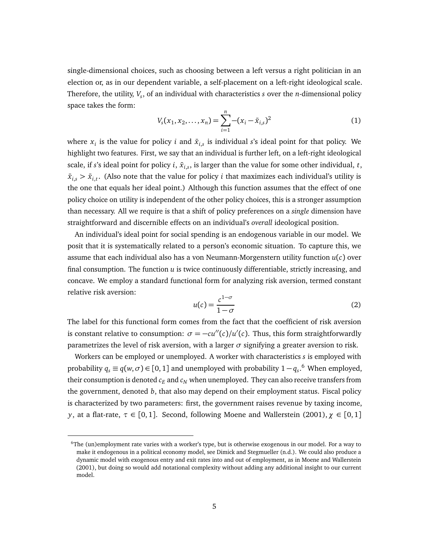single-dimensional choices, such as choosing between a left versus a right politician in an election or, as in our dependent variable, a self-placement on a left-right ideological scale. Therefore, the utility, *Vs*, of an individual with characteristics *s* over the *n*-dimensional policy space takes the form:

$$
V_s(x_1, x_2, \dots, x_n) = \sum_{i=1}^n -(x_i - \bar{x}_{i,s})^2
$$
 (1)

where  $x_i$  is the value for policy *i* and  $\bar{x}_{i,s}$  is individual *s*'s ideal point for that policy. We highlight two features. First, we say that an individual is further left, on a left-right ideological scale, if *s*'s ideal point for policy *i*,  $\bar{x}$ <sub>*i,s*</sub>, is larger than the value for some other individual, *t*,  $\bar{x}_{i,s} > \bar{x}_{i,t}$ . (Also note that the value for policy *i* that maximizes each individual's utility is the one that equals her ideal point.) Although this function assumes that the effect of one policy choice on utility is independent of the other policy choices, this is a stronger assumption than necessary. All we require is that a shift of policy preferences on a *single* dimension have straightforward and discernible effects on an individual's *overall* ideological position.

An individual's ideal point for social spending is an endogenous variable in our model. We posit that it is systematically related to a person's economic situation. To capture this, we assume that each individual also has a von Neumann-Morgenstern utility function *u*(*c*) over final consumption. The function *u* is twice continuously differentiable, strictly increasing, and concave. We employ a standard functional form for analyzing risk aversion, termed constant relative risk aversion:

$$
u(c) = \frac{c^{1-\sigma}}{1-\sigma} \tag{2}
$$

The label for this functional form comes from the fact that the coefficient of risk aversion is constant relative to consumption:  $\sigma = -cu''(c)/u'(c)$ . Thus, this form straightforwardly parametrizes the level of risk aversion, with a larger  $\sigma$  signifying a greater aversion to risk.

Workers can be employed or unemployed. A worker with characteristics *s* is employed with probability  $q_s \equiv q(w, \sigma) \in [0, 1]$  and unemployed with probability  $1 - q_s$ .<sup>6</sup> When employed, their consumption is denoted  $c_E$  and  $c_N$  when unemployed. They can also receive transfers from the government, denoted *b*, that also may depend on their employment status. Fiscal policy is characterized by two parameters: first, the government raises revenue by taxing income, *y*, at a flat-rate,  $\tau \in [0,1]$ . Second, following Moene and Wallerstein (2001),  $\chi \in [0,1]$ 

 $6$ The (un)employment rate varies with a worker's type, but is otherwise exogenous in our model. For a way to make it endogenous in a political economy model, see Dimick and Stegmueller (n.d.). We could also produce a dynamic model with exogenous entry and exit rates into and out of employment, as in Moene and Wallerstein (2001), but doing so would add notational complexity without adding any additional insight to our current model.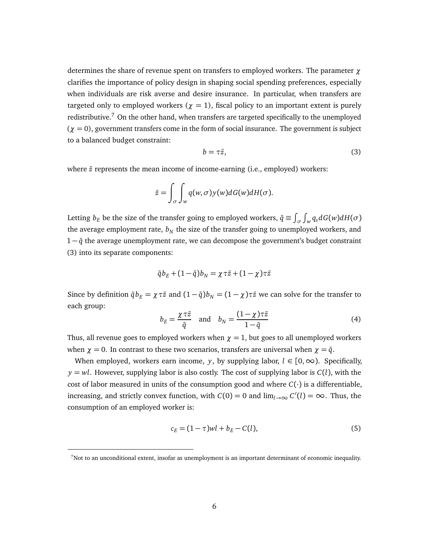determines the share of revenue spent on transfers to employed workers. The parameter  $\gamma$ clarifies the importance of policy design in shaping social spending preferences, especially when individuals are risk averse and desire insurance. In particular, when transfers are targeted only to employed workers ( $\chi = 1$ ), fiscal policy to an important extent is purely redistributive.<sup>7</sup> On the other hand, when transfers are targeted specifically to the unemployed  $(\chi = 0)$ , government transfers come in the form of social insurance. The government is subject to a balanced budget constraint:

$$
b = \tau \bar{z},\tag{3}
$$

where  $\bar{z}$  represents the mean income of income-earning (i.e., employed) workers:

$$
\bar{z} = \int_{\sigma} \int_{w} q(w, \sigma) y(w) dG(w) dH(\sigma).
$$

Letting  $b_E$  be the size of the transfer going to employed workers,  $\bar{q} \equiv \int_{\sigma} \int_{w} q_s dG(w) dH(\sigma)$ the average employment rate,  $b_N$  the size of the transfer going to unemployed workers, and  $1 - \bar{q}$  the average unemployment rate, we can decompose the government's budget constraint (3) into its separate components:

$$
\bar{q}b_E + (1-\bar{q})b_N = \chi \tau \bar{z} + (1-\chi)\tau \bar{z}
$$

Since by definition  $\bar{q}b_E = \chi \tau \bar{z}$  and  $(1 - \bar{q})b_N = (1 - \chi)\tau \bar{z}$  we can solve for the transfer to each group:

$$
b_E = \frac{\chi \tau \bar{z}}{\bar{q}} \quad \text{and} \quad b_N = \frac{(1 - \chi)\tau \bar{z}}{1 - \bar{q}} \tag{4}
$$

Thus, all revenue goes to employed workers when  $\chi = 1$ , but goes to all unemployed workers when  $\chi = 0$ . In contrast to these two scenarios, transfers are universal when  $\chi = \bar{q}$ .

When employed, workers earn income, *y*, by supplying labor,  $l \in [0,\infty)$ . Specifically,  $y = wl$ . However, supplying labor is also costly. The cost of supplying labor is  $C(l)$ , with the cost of labor measured in units of the consumption good and where *C*(*·*) is a differentiable, increasing, and strictly convex function, with  $C(0) = 0$  and  $\lim_{l\to\infty} C'(l) = \infty$ . Thus, the consumption of an employed worker is:

$$
c_E = (1 - \tau)wl + b_E - C(l),
$$
\n(5)

 $<sup>7</sup>$ Not to an unconditional extent, insofar as unemployment is an important determinant of economic inequality.</sup>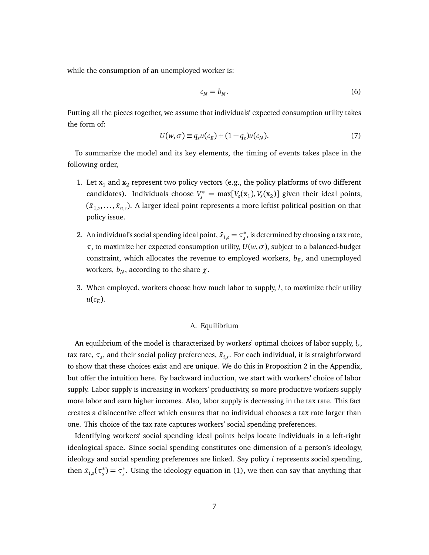while the consumption of an unemployed worker is:

$$
c_N = b_N. \tag{6}
$$

Putting all the pieces together, we assume that individuals' expected consumption utility takes the form of:

$$
U(w, \sigma) \equiv q_s u(c_E) + (1 - q_s) u(c_N). \tag{7}
$$

To summarize the model and its key elements, the timing of events takes place in the following order,

- 1. Let  $\mathbf{x}_1$  and  $\mathbf{x}_2$  represent two policy vectors (e.g., the policy platforms of two different candidates). Individuals choose  $V_s^* = \max[V_s(\mathbf{x}_1), V_s(\mathbf{x}_2)]$  given their ideal points,  $(\bar{x}_{1,s},\ldots,\bar{x}_{n,s})$ . A larger ideal point represents a more leftist political position on that policy issue.
- 2. An individual's social spending ideal point,  $\bar{x}_{i,s} = \tau_s^*$ , is determined by choosing a tax rate,  $\tau$ , to maximize her expected consumption utility,  $U(w, \sigma)$ , subject to a balanced-budget constraint, which allocates the revenue to employed workers,  $b_E$ , and unemployed workers,  $b_N$ , according to the share  $\chi$ .
- 3. When employed, workers choose how much labor to supply, *l*, to maximize their utility  $u(c_E)$ .

## A. Equilibrium

An equilibrium of the model is characterized by workers' optimal choices of labor supply, *ls*, tax rate,  $\tau_s$ , and their social policy preferences,  $\bar{x}_{i,s}$ . For each individual, it is straightforward to show that these choices exist and are unique. We do this in Proposition 2 in the Appendix, but offer the intuition here. By backward induction, we start with workers' choice of labor supply. Labor supply is increasing in workers' productivity, so more productive workers supply more labor and earn higher incomes. Also, labor supply is decreasing in the tax rate. This fact creates a disincentive effect which ensures that no individual chooses a tax rate larger than one. This choice of the tax rate captures workers' social spending preferences.

Identifying workers' social spending ideal points helps locate individuals in a left-right ideological space. Since social spending constitutes one dimension of a person's ideology, ideology and social spending preferences are linked. Say policy *i* represents social spending, then  $\bar{x}_{i,s}(\tau_s^*) = \tau_s^*$ . Using the ideology equation in (1), we then can say that anything that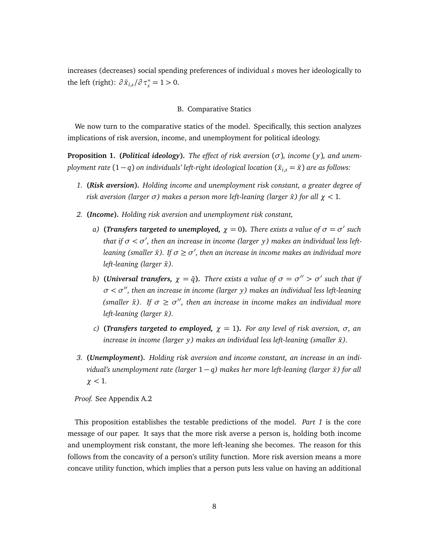increases (decreases) social spending preferences of individual *s* moves her ideologically to the left (right):  $\partial \bar{x}_{i,s} / \partial \tau_s^* = 1 > 0$ .

#### B. Comparative Statics

We now turn to the comparative statics of the model. Specifically, this section analyzes implications of risk aversion, income, and unemployment for political ideology.

**Proposition 1. (Political ideology).** The effect of risk aversion  $(\sigma)$ , income (y), and unem*ployment rate*  $(1 - q)$  *on individuals' left-right ideological location*  $(\bar{x}_{i,s} = \bar{x})$  *are as follows:* 

- *1.* **(***Risk aversion***)***. Holding income and unemployment risk constant, a greater degree of risk aversion (larger*  $\sigma$ ) makes a person more left-leaning (larger  $\bar{x}$ ) for all  $\chi$  < 1.
- *2.* **(***Income***)***. Holding risk aversion and unemployment risk constant,*
	- *a*) **(Transfers targeted to unemployed,**  $\chi = 0$ ). There exists a value of  $\sigma = \sigma'$  such that if  $\sigma < \sigma'$ , then an increase in income (larger y) makes an individual less leftleaning (smaller  $\bar{x}$ ). If  $\sigma \ge \sigma'$ , then an increase in income makes an individual more *left-leaning (larger*  $\bar{x}$ *).*
	- *b*) **(Universal transfers,**  $\chi = \bar{q}$ ). There exists a value of  $\sigma = \sigma'' > \sigma'$  such that if  $\sigma < \sigma''$ , then an increase in income (larger *y*) makes an individual less left-leaning *(smaller*  $\bar{x}$ ). If  $\sigma \ge \sigma''$ , then an increase in income makes an individual more *left-leaning (larger*  $\bar{x}$ *).*
	- *c*) **(Transfers targeted to employed,**  $\chi = 1$ ). For any level of risk aversion,  $\sigma$ , an *increase in income (larger y) makes an individual less left-leaning (smaller*  $\bar{x}$ *).*
- *3.* **(***Unemployment***)***. Holding risk aversion and income constant, an increase in an individual's unemployment rate (larger* 1 *q) makes her more left-leaning (larger x*¯*) for all*  $\chi$  < 1*.*

*Proof.* See Appendix A.2

This proposition establishes the testable predictions of the model. *Part 1* is the core message of our paper. It says that the more risk averse a person is, holding both income and unemployment risk constant, the more left-leaning she becomes. The reason for this follows from the concavity of a person's utility function. More risk aversion means a more concave utility function, which implies that a person puts less value on having an additional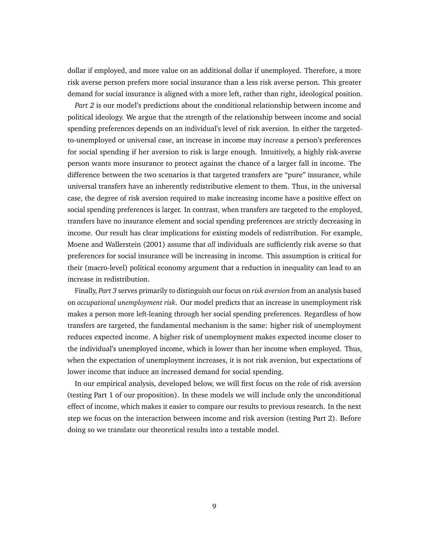dollar if employed, and more value on an additional dollar if unemployed. Therefore, a more risk averse person prefers more social insurance than a less risk averse person. This greater demand for social insurance is aligned with a more left, rather than right, ideological position.

*Part 2* is our model's predictions about the conditional relationship between income and political ideology. We argue that the strength of the relationship between income and social spending preferences depends on an individual's level of risk aversion. In either the targetedto-unemployed or universal case, an increase in income may *increase* a person's preferences for social spending if her aversion to risk is large enough. Intuitively, a highly risk-averse person wants more insurance to protect against the chance of a larger fall in income. The difference between the two scenarios is that targeted transfers are "pure" insurance, while universal transfers have an inherently redistributive element to them. Thus, in the universal case, the degree of risk aversion required to make increasing income have a positive effect on social spending preferences is larger. In contrast, when transfers are targeted to the employed, transfers have no insurance element and social spending preferences are strictly decreasing in income. Our result has clear implications for existing models of redistribution. For example, Moene and Wallerstein (2001) assume that *all* individuals are sufficiently risk averse so that preferences for social insurance will be increasing in income. This assumption is critical for their (macro-level) political economy argument that a reduction in inequality can lead to an increase in redistribution.

Finally, *Part 3* serves primarily to distinguish our focus on *risk aversion* from an analysis based on *occupational unemployment risk*. Our model predicts that an increase in unemployment risk makes a person more left-leaning through her social spending preferences. Regardless of how transfers are targeted, the fundamental mechanism is the same: higher risk of unemployment reduces expected income. A higher risk of unemployment makes expected income closer to the individual's unemployed income, which is lower than her income when employed. Thus, when the expectation of unemployment increases, it is not risk aversion, but expectations of lower income that induce an increased demand for social spending.

In our empirical analysis, developed below, we will first focus on the role of risk aversion (testing Part 1 of our proposition). In these models we will include only the unconditional effect of income, which makes it easier to compare our results to previous research. In the next step we focus on the interaction between income and risk aversion (testing Part 2). Before doing so we translate our theoretical results into a testable model.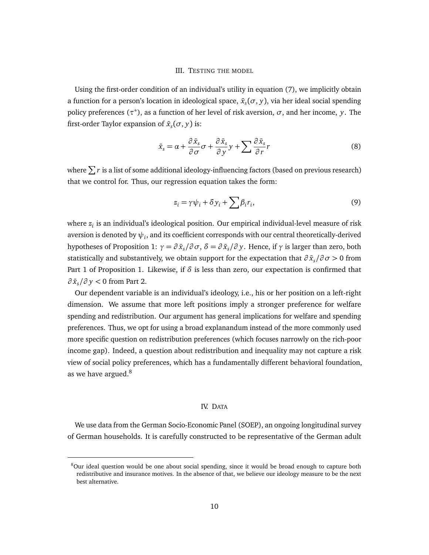#### III. TESTING THE MODEL

Using the first-order condition of an individual's utility in equation (7), we implicitly obtain a function for a person's location in ideological space,  $\bar{x}_s(\sigma, y)$ , via her ideal social spending policy preferences ( $\tau^*$ ), as a function of her level of risk aversion,  $\sigma$ , and her income, *y*. The first-order Taylor expansion of  $\bar{x}_s(\sigma, y)$  is:

$$
\bar{x}_s = \alpha + \frac{\partial \bar{x}_s}{\partial \sigma} \sigma + \frac{\partial \bar{x}_s}{\partial y} y + \sum \frac{\partial \bar{x}_s}{\partial r} r \tag{8}
$$

where  $\sum r$  is a list of some additional ideology-influencing factors (based on previous research) that we control for. Thus, our regression equation takes the form:

$$
z_i = \gamma \psi_i + \delta y_i + \sum \beta_i r_i, \tag{9}
$$

where  $z_i$  is an individual's ideological position. Our empirical individual-level measure of risk aversion is denoted by  $\psi_i$ , and its coefficient corresponds with our central theoretically-derived hypotheses of Proposition 1:  $\gamma = \partial \bar{x}_s / \partial \sigma$ ,  $\delta = \partial \bar{x}_s / \partial y$ . Hence, if  $\gamma$  is larger than zero, both statistically and substantively, we obtain support for the expectation that  $\partial \bar{x}_s / \partial \sigma > 0$  from Part 1 of Proposition 1. Likewise, if  $\delta$  is less than zero, our expectation is confirmed that  $\partial \bar{x}_s / \partial y < 0$  from Part 2.

Our dependent variable is an individual's ideology, i.e., his or her position on a left-right dimension. We assume that more left positions imply a stronger preference for welfare spending and redistribution. Our argument has general implications for welfare and spending preferences. Thus, we opt for using a broad explanandum instead of the more commonly used more specific question on redistribution preferences (which focuses narrowly on the rich-poor income gap). Indeed, a question about redistribution and inequality may not capture a risk view of social policy preferences, which has a fundamentally different behavioral foundation, as we have argued. $8$ 

## IV. DATA

We use data from the German Socio-Economic Panel (SOEP), an ongoing longitudinal survey of German households. It is carefully constructed to be representative of the German adult

 $8$ Our ideal question would be one about social spending, since it would be broad enough to capture both redistributive and insurance motives. In the absence of that, we believe our ideology measure to be the next best alternative.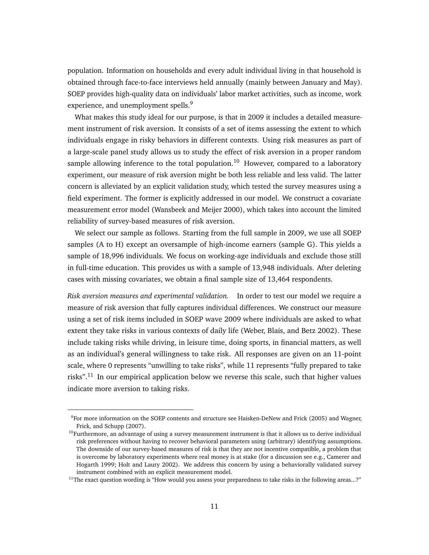population. Information on households and every adult individual living in that household is obtained through face-to-face interviews held annually (mainly between January and May). SOEP provides high-quality data on individuals' labor market activities, such as income, work experience, and unemployment spells.<sup>9</sup>

What makes this study ideal for our purpose, is that in 2009 it includes a detailed measurement instrument of risk aversion. It consists of a set of items assessing the extent to which individuals engage in risky behaviors in different contexts. Using risk measures as part of a large-scale panel study allows us to study the effect of risk aversion in a proper random sample allowing inference to the total population.<sup>10</sup> However, compared to a laboratory experiment, our measure of risk aversion might be both less reliable and less valid. The latter concern is alleviated by an explicit validation study, which tested the survey measures using a field experiment. The former is explicitly addressed in our model. We construct a covariate measurement error model (Wansbeek and Meijer 2000), which takes into account the limited reliability of survey-based measures of risk aversion.

We select our sample as follows. Starting from the full sample in 2009, we use all SOEP samples (A to H) except an oversample of high-income earners (sample G). This yields a sample of 18,996 individuals. We focus on working-age individuals and exclude those still in full-time education. This provides us with a sample of 13,948 individuals. After deleting cases with missing covariates, we obtain a final sample size of 13,464 respondents.

*Risk aversion measures and experimental validation.* In order to test our model we require a measure of risk aversion that fully captures individual differences. We construct our measure using a set of risk items included in SOEP wave 2009 where individuals are asked to what extent they take risks in various contexts of daily life (Weber, Blais, and Betz 2002). These include taking risks while driving, in leisure time, doing sports, in financial matters, as well as an individual's general willingness to take risk. All responses are given on an 11-point scale, where 0 represents "unwilling to take risks", while 11 represents "fully prepared to take risks".<sup>11</sup> In our empirical application below we reverse this scale, such that higher values indicate more aversion to taking risks.

<sup>9</sup>For more information on the SOEP contents and structure see Haisken-DeNew and Frick (2005) and Wagner, Frick, and Schupp (2007).

 $10$ Furthermore, an advantage of using a survey measurement instrument is that it allows us to derive individual risk preferences without having to recover behavioral parameters using (arbitrary) identifying assumptions. The downside of our survey-based measures of risk is that they are not incentive compatible, a problem that is overcome by laboratory experiments where real money is at stake (for a discussion see e.g., Camerer and Hogarth 1999; Holt and Laury 2002). We address this concern by using a behaviorally validated survey instrument combined with an explicit measurement model.

 $11$ The exact question wording is "How would you assess your preparedness to take risks in the following areas...?"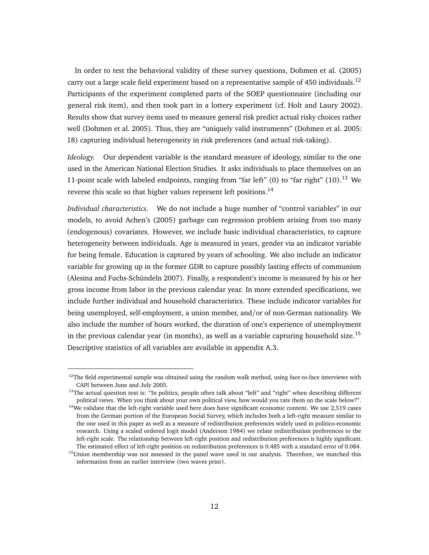In order to test the behavioral validity of these survey questions, Dohmen et al. (2005) carry out a large scale field experiment based on a representative sample of 450 individuals.<sup>12</sup> Participants of the experiment completed parts of the SOEP questionnaire (including our general risk item), and then took part in a lottery experiment (cf. Holt and Laury 2002). Results show that survey items used to measure general risk predict actual risky choices rather well (Dohmen et al. 2005). Thus, they are "uniquely valid instruments" (Dohmen et al. 2005: 18) capturing individual heterogeneity in risk preferences (and actual risk-taking).

*Ideology.* Our dependent variable is the standard measure of ideology, similar to the one used in the American National Election Studies. It asks individuals to place themselves on an 11-point scale with labeled endpoints, ranging from "far left" (0) to "far right" (10).<sup>13</sup> We reverse this scale so that higher values represent left positions.<sup>14</sup>

*Individual characteristics.* We do not include a huge number of "control variables" in our models, to avoid Achen's (2005) garbage can regression problem arising from too many (endogenous) covariates. However, we include basic individual characteristics, to capture heterogeneity between individuals. Age is measured in years, gender via an indicator variable for being female. Education is captured by years of schooling. We also include an indicator variable for growing up in the former GDR to capture possibly lasting effects of communism (Alesina and Fuchs-Schündeln 2007). Finally, a respondent's income is measured by his or her gross income from labor in the previous calendar year. In more extended specifications, we include further individual and household characteristics. These include indicator variables for being unemployed, self-employment, a union member, and/or of non-German nationality. We also include the number of hours worked, the duration of one's experience of unemployment in the previous calendar year (in months), as well as a variable capturing household size.<sup>15</sup> Descriptive statistics of all variables are available in appendix A.3.

 $12$ The field experimental sample was obtained using the random walk method, using face-to-face interviews with CAPI between June and July 2005.

<sup>&</sup>lt;sup>13</sup>The actual question text is: "In politics, people often talk about "left" and "right" when describing different political views. When you think about your own political view, how would you rate them on the scale below?".

 $14$ We validate that the left-right variable used here does have significant economic content. We use 2,519 cases from the German portion of the European Social Survey, which includes both a left-right measure similar to the one used in this paper as well as a measure of redistribution preferences widely used in politico-economic research. Using a scaled ordered logit model (Anderson 1984) we relate redistribution preferences to the left-right scale. The relationship between left-right position and redistribution preferences is highly significant. The estimated effect of left-right position on redistribution preferences is 0.485 with a standard error of 0.084.

<sup>&</sup>lt;sup>15</sup>Union membership was not assessed in the panel wave used in our analysis. Therefore, we matched this information from an earlier interview (two waves prior).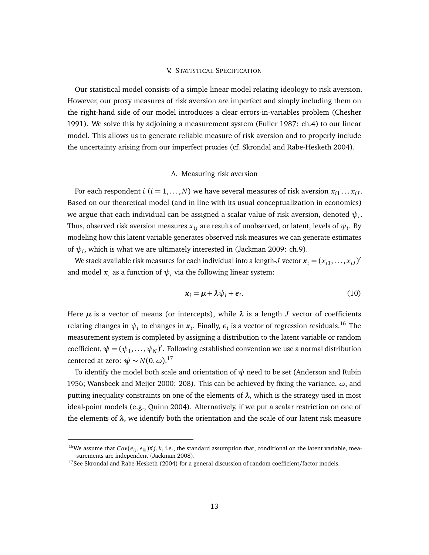#### V. STATISTICAL SPECIFICATION

Our statistical model consists of a simple linear model relating ideology to risk aversion. However, our proxy measures of risk aversion are imperfect and simply including them on the right-hand side of our model introduces a clear errors-in-variables problem (Chesher 1991). We solve this by adjoining a measurement system (Fuller 1987: ch.4) to our linear model. This allows us to generate reliable measure of risk aversion and to properly include the uncertainty arising from our imperfect proxies (cf. Skrondal and Rabe-Hesketh 2004).

## A. Measuring risk aversion

For each respondent *i* ( $i = 1, ..., N$ ) we have several measures of risk aversion  $x_{i1}...x_{iJ}$ . Based on our theoretical model (and in line with its usual conceptualization in economics) we argue that each individual can be assigned a scalar value of risk aversion, denoted  $\psi_i$ . Thus, observed risk aversion measures  $x_{ij}$  are results of unobserved, or latent, levels of  $\psi_i$ . By modeling how this latent variable generates observed risk measures we can generate estimates of  $\psi_i$ , which is what we are ultimately interested in (Jackman 2009: ch.9).

We stack available risk measures for each individual into a length-*J* vector  $\pmb{x}_i = (x_{i1}, \dots, x_{iJ})'$ and model  $x_i$  as a function of  $\psi_i$  via the following linear system:

$$
x_i = \mu + \lambda \psi_i + \epsilon_i. \tag{10}
$$

Here  $\mu$  is a vector of means (or intercepts), while  $\lambda$  is a length *J* vector of coefficients relating changes in  $\psi_i$  to changes in  $x_i$ . Finally,  $\epsilon_i$  is a vector of regression residuals.<sup>16</sup> The measurement system is completed by assigning a distribution to the latent variable or random coefficient,  $\pmb{\psi}=(\psi_1,\ldots,\psi_N)'$ . Following established convention we use a normal distribution centered at zero:  $\psi \sim N(0, \omega)$ .<sup>17</sup>

To identify the model both scale and orientation of  $\psi$  need to be set (Anderson and Rubin 1956; Wansbeek and Meijer 2000: 208). This can be achieved by fixing the variance,  $\omega$ , and putting inequality constraints on one of the elements of  $\lambda$ , which is the strategy used in most ideal-point models (e.g., Quinn 2004). Alternatively, if we put a scalar restriction on one of the elements of  $\lambda$ , we identify both the orientation and the scale of our latent risk measure

<sup>&</sup>lt;sup>16</sup>We assume that  $Cov(\epsilon_{ij}, \epsilon_{ik})\forall j, k$ , i.e., the standard assumption that, conditional on the latent variable, measurements are independent (Jackman 2008).

 $17$ See Skrondal and Rabe-Hesketh (2004) for a general discussion of random coefficient/factor models.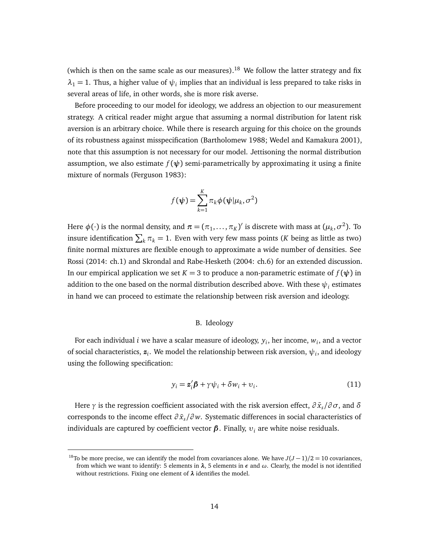(which is then on the same scale as our measures).<sup>18</sup> We follow the latter strategy and fix  $\lambda_1 = 1$ . Thus, a higher value of  $\psi_i$  implies that an individual is less prepared to take risks in several areas of life, in other words, she is more risk averse.

Before proceeding to our model for ideology, we address an objection to our measurement strategy. A critical reader might argue that assuming a normal distribution for latent risk aversion is an arbitrary choice. While there is research arguing for this choice on the grounds of its robustness against misspecification (Bartholomew 1988; Wedel and Kamakura 2001), note that this assumption is not necessary for our model. Jettisoning the normal distribution assumption, we also estimate  $f(\psi)$  semi-parametrically by approximating it using a finite mixture of normals (Ferguson 1983):

$$
f(\boldsymbol{\psi}) = \sum_{k=1}^{K} \pi_k \boldsymbol{\phi}(\boldsymbol{\psi} | \mu_k, \sigma^2)
$$

Here  $\phi(\cdot)$  is the normal density, and  $\pi = (\pi_1, \ldots, \pi_K)'$  is discrete with mass at  $(\mu_k, \sigma^2)$ . To insure identification  $\sum_k \pi_k = 1$ . Even with very few mass points (*K* being as little as two) finite normal mixtures are flexible enough to approximate a wide number of densities. See Rossi (2014: ch.1) and Skrondal and Rabe-Hesketh (2004: ch.6) for an extended discussion. In our empirical application we set  $K = 3$  to produce a non-parametric estimate of  $f(\psi)$  in addition to the one based on the normal distribution described above. With these  $\psi_i$  estimates in hand we can proceed to estimate the relationship between risk aversion and ideology.

#### B. Ideology

For each individual *i* we have a scalar measure of ideology,  $y_i$ , her income,  $w_i$ , and a vector of social characteristics,  $z_i$ . We model the relationship between risk aversion,  $\psi_i$ , and ideology using the following specification:

$$
y_i = \mathbf{z}_i' \mathbf{\beta} + \gamma \psi_i + \delta w_i + v_i. \tag{11}
$$

Here  $\gamma$  is the regression coefficient associated with the risk aversion effect,  $\frac{\partial \bar{x}_s}{\partial \sigma}$ , and  $\delta$ corresponds to the income effect  $\partial \bar{x}_s/\partial w$ . Systematic differences in social characteristics of individuals are captured by coefficient vector  $\beta$ . Finally,  $v_i$  are white noise residuals.

<sup>&</sup>lt;sup>18</sup>To be more precise, we can identify the model from covariances alone. We have  $J(J-1)/2 = 10$  covariances, from which we want to identify: 5 elements in  $\lambda$ , 5 elements in  $\epsilon$  and  $\omega$ . Clearly, the model is not identified without restrictions. Fixing one element of  $\lambda$  identifies the model.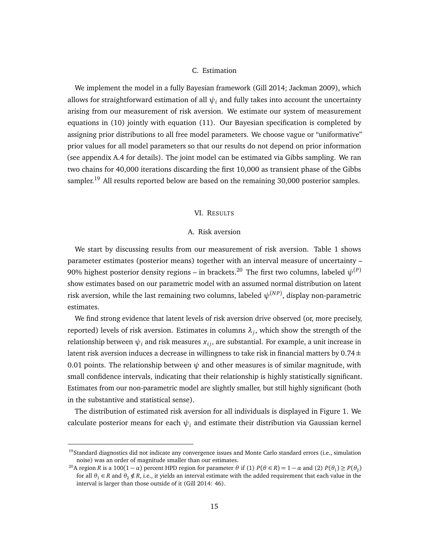#### C. Estimation

We implement the model in a fully Bayesian framework (Gill 2014; Jackman 2009), which allows for straightforward estimation of all  $\psi_i$  and fully takes into account the uncertainty arising from our measurement of risk aversion. We estimate our system of measurement equations in (10) jointly with equation (11). Our Bayesian specification is completed by assigning prior distributions to all free model parameters. We choose vague or "uniformative" prior values for all model parameters so that our results do not depend on prior information (see appendix A.4 for details). The joint model can be estimated via Gibbs sampling. We ran two chains for 40,000 iterations discarding the first 10,000 as transient phase of the Gibbs sampler.<sup>19</sup> All results reported below are based on the remaining 30,000 posterior samples.

## VI. RESULTS

#### A. Risk aversion

We start by discussing results from our measurement of risk aversion. Table 1 shows parameter estimates (posterior means) together with an interval measure of uncertainty – 90% highest posterior density regions – in brackets.<sup>20</sup> The first two columns, labeled  $\psi^{(P)}$ show estimates based on our parametric model with an assumed normal distribution on latent risk aversion, while the last remaining two columns, labeled  $\psi^{(NP)}$ , display non-parametric estimates.

We find strong evidence that latent levels of risk aversion drive observed (or, more precisely, reported) levels of risk aversion. Estimates in columns  $\lambda_i$ , which show the strength of the relationship between  $\psi_i$  and risk measures  $x_{ij}$ , are substantial. For example, a unit increase in latent risk aversion induces a decrease in willingness to take risk in financial matters by 0.74*±* 0.01 points. The relationship between  $\psi$  and other measures is of similar magnitude, with small confidence intervals, indicating that their relationship is highly statistically significant. Estimates from our non-parametric model are slightly smaller, but still highly significant (both in the substantive and statistical sense).

The distribution of estimated risk aversion for all individuals is displayed in Figure 1. We calculate posterior means for each  $\psi_i$  and estimate their distribution via Gaussian kernel

 $19$ Standard diagnostics did not indicate any convergence issues and Monte Carlo standard errors (i.e., simulation noise) was an order of magnitude smaller than our estimates.

<sup>&</sup>lt;sup>20</sup>A region *R* is a 100(1 –  $\alpha$ ) percent HPD region for parameter  $\theta$  if (1)  $P(\theta \in R) = 1 - \alpha$  and (2)  $P(\theta_1) \ge P(\theta_2)$ for all  $\theta_1 \in R$  and  $\theta_2 \notin R$ , i.e., it yields an interval estimate with the added requirement that each value in the interval is larger than those outside of it (Gill 2014: 46).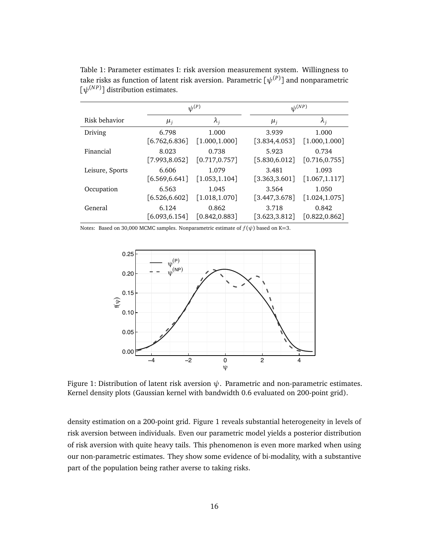|                 |                | $\psi^{(P)}$   | $\psi^{(NP)}$  |                |
|-----------------|----------------|----------------|----------------|----------------|
| Risk behavior   | $\mu_i$        | $\lambda_i$    | $\mu_i$        | $\lambda_i$    |
| Driving         | 6.798          | 1.000          | 3.939          | 1.000          |
|                 | [6.762, 6.836] | [1.000, 1.000] | [3.834, 4.053] | [1.000, 1.000] |
| Financial       | 8.023          | 0.738          | 5.923          | 0.734          |
|                 | [7.993, 8.052] | [0.717, 0.757] | [5.830, 6.012] | [0.716, 0.755] |
| Leisure, Sports | 6.606          | 1.079          | 3.481          | 1.093          |
|                 | [6.569, 6.641] | [1.053, 1.104] | [3.363, 3.601] | [1.067, 1.117] |
| Occupation      | 6.563          | 1.045          | 3.564          | 1.050          |
|                 | [6.526, 6.602] | [1.018, 1.070] | [3.447, 3.678] | [1.024, 1.075] |
| General         | 6.124          | 0.862          | 3.718          | 0.842          |
|                 | [6.093, 6.154] | [0.842, 0.883] | [3.623, 3.812] | [0.822, 0.862] |

Table 1: Parameter estimates I: risk aversion measurement system. Willingness to take risks as function of latent risk aversion. Parametric  $[\psi^{(P)}]$  and nonparametric  $[\psi^{(NP)}]$  distribution estimates.

Notes: Based on 30,000 MCMC samples. Nonparametric estimate of  $f(\psi)$  based on K=3.



Figure 1: Distribution of latent risk aversion  $\psi$ . Parametric and non-parametric estimates. Kernel density plots (Gaussian kernel with bandwidth 0.6 evaluated on 200-point grid).

density estimation on a 200-point grid. Figure 1 reveals substantial heterogeneity in levels of risk aversion between individuals. Even our parametric model yields a posterior distribution of risk aversion with quite heavy tails. This phenomenon is even more marked when using our non-parametric estimates. They show some evidence of bi-modality, with a substantive part of the population being rather averse to taking risks.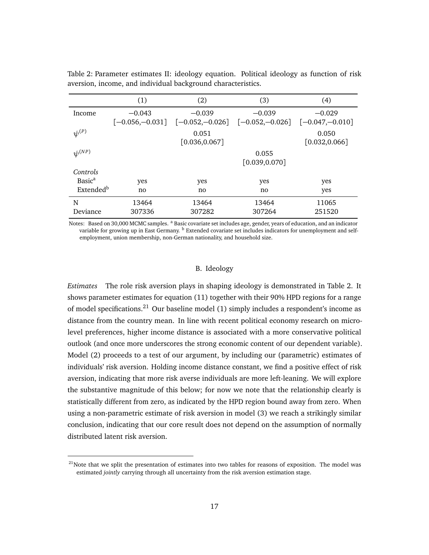|                       | (1)      | (2)                                 | (3)                                   | (4)            |
|-----------------------|----------|-------------------------------------|---------------------------------------|----------------|
| Income                | $-0.043$ | $-0.039$                            | $-0.039$                              | $-0.029$       |
|                       |          | $[-0.056,-0.031]$ $[-0.052,-0.026]$ | $[-0.052, -0.026]$ $[-0.047, -0.010]$ |                |
| $\psi^{(P)}$          |          | 0.051                               |                                       | 0.050          |
|                       |          | [0.036, 0.067]                      |                                       | [0.032, 0.066] |
| $\psi^{(NP)}$         |          |                                     | 0.055                                 |                |
|                       |          |                                     | [0.039, 0.070]                        |                |
| Controls              |          |                                     |                                       |                |
| Basic <sup>a</sup>    | yes      | yes                                 | yes                                   | yes            |
| Extended <sup>b</sup> | no       | no                                  | no                                    | yes            |
| N                     | 13464    | 13464                               | 13464                                 | 11065          |
| Deviance              | 307336   | 307282                              | 307264                                | 251520         |

Table 2: Parameter estimates II: ideology equation. Political ideology as function of risk aversion, income, and individual background characteristics.

Notes: Based on 30,000 MCMC samples. <sup>a</sup> Basic covariate set includes age, gender, years of education, and an indicator variable for growing up in East Germany. <sup>b</sup> Extended covariate set includes indicators for unemployment and selfemployment, union membership, non-German nationality, and household size.

#### B. Ideology

*Estimates* The role risk aversion plays in shaping ideology is demonstrated in Table 2. It shows parameter estimates for equation (11) together with their 90% HPD regions for a range of model specifications.<sup>21</sup> Our baseline model (1) simply includes a respondent's income as distance from the country mean. In line with recent political economy research on microlevel preferences, higher income distance is associated with a more conservative political outlook (and once more underscores the strong economic content of our dependent variable). Model (2) proceeds to a test of our argument, by including our (parametric) estimates of individuals' risk aversion. Holding income distance constant, we find a positive effect of risk aversion, indicating that more risk averse individuals are more left-leaning. We will explore the substantive magnitude of this below; for now we note that the relationship clearly is statistically different from zero, as indicated by the HPD region bound away from zero. When using a non-parametric estimate of risk aversion in model (3) we reach a strikingly similar conclusion, indicating that our core result does not depend on the assumption of normally distributed latent risk aversion.

 $2<sup>1</sup>$ Note that we split the presentation of estimates into two tables for reasons of exposition. The model was estimated *jointly* carrying through all uncertainty from the risk aversion estimation stage.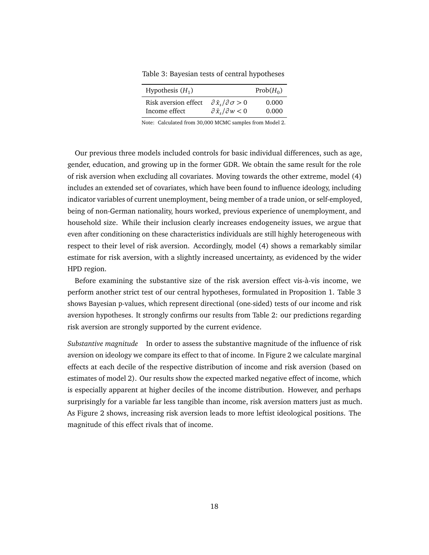|                                                                                   | $Prob(H_0)$    |
|-----------------------------------------------------------------------------------|----------------|
| $\partial \bar{x}_{s}/\partial \sigma$ > 0<br>$\partial \bar{x}_s/\partial w < 0$ | 0.000<br>0.000 |
|                                                                                   |                |

Table 3: Bayesian tests of central hypotheses

Note: Calculated from 30,000 MCMC samples from Model 2.

Our previous three models included controls for basic individual differences, such as age, gender, education, and growing up in the former GDR. We obtain the same result for the role of risk aversion when excluding all covariates. Moving towards the other extreme, model (4) includes an extended set of covariates, which have been found to influence ideology, including indicator variables of current unemployment, being member of a trade union, or self-employed, being of non-German nationality, hours worked, previous experience of unemployment, and household size. While their inclusion clearly increases endogeneity issues, we argue that even after conditioning on these characteristics individuals are still highly heterogeneous with respect to their level of risk aversion. Accordingly, model (4) shows a remarkably similar estimate for risk aversion, with a slightly increased uncertainty, as evidenced by the wider HPD region.

Before examining the substantive size of the risk aversion effect vis-à-vis income, we perform another strict test of our central hypotheses, formulated in Proposition 1. Table 3 shows Bayesian p-values, which represent directional (one-sided) tests of our income and risk aversion hypotheses. It strongly confirms our results from Table 2: our predictions regarding risk aversion are strongly supported by the current evidence.

*Substantive magnitude* In order to assess the substantive magnitude of the influence of risk aversion on ideology we compare its effect to that of income. In Figure 2 we calculate marginal effects at each decile of the respective distribution of income and risk aversion (based on estimates of model 2). Our results show the expected marked negative effect of income, which is especially apparent at higher deciles of the income distribution. However, and perhaps surprisingly for a variable far less tangible than income, risk aversion matters just as much. As Figure 2 shows, increasing risk aversion leads to more leftist ideological positions. The magnitude of this effect rivals that of income.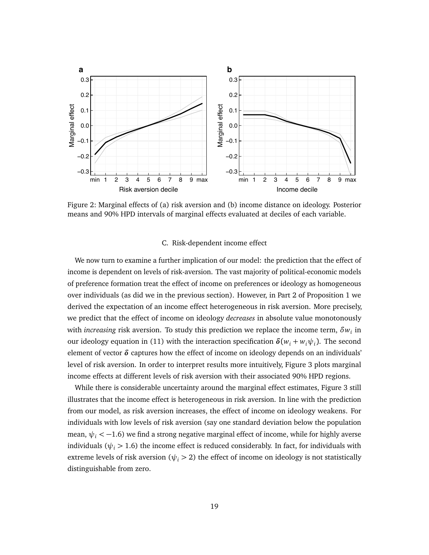

Figure 2: Marginal effects of (a) risk aversion and (b) income distance on ideology. Posterior means and 90% HPD intervals of marginal effects evaluated at deciles of each variable.

## C. Risk-dependent income effect

We now turn to examine a further implication of our model: the prediction that the effect of income is dependent on levels of risk-aversion. The vast majority of political-economic models of preference formation treat the effect of income on preferences or ideology as homogeneous over individuals (as did we in the previous section). However, in Part 2 of Proposition 1 we derived the expectation of an income effect heterogeneous in risk aversion. More precisely, we predict that the effect of income on ideology *decreases* in absolute value monotonously with *increasing* risk aversion. To study this prediction we replace the income term,  $\delta w_i$  in our ideology equation in (11) with the interaction specification  $\delta(w_i + w_i \psi_i)$ . The second element of vector  $\delta$  captures how the effect of income on ideology depends on an individuals' level of risk aversion. In order to interpret results more intuitively, Figure 3 plots marginal income effects at different levels of risk aversion with their associated 90% HPD regions.

While there is considerable uncertainty around the marginal effect estimates, Figure 3 still illustrates that the income effect is heterogeneous in risk aversion. In line with the prediction from our model, as risk aversion increases, the effect of income on ideology weakens. For individuals with low levels of risk aversion (say one standard deviation below the population mean,  $\psi_i$  < -1.6) we find a strong negative marginal effect of income, while for highly averse individuals ( $\psi_i$  > 1.6) the income effect is reduced considerably. In fact, for individuals with extreme levels of risk aversion ( $\psi_i$  > 2) the effect of income on ideology is not statistically distinguishable from zero.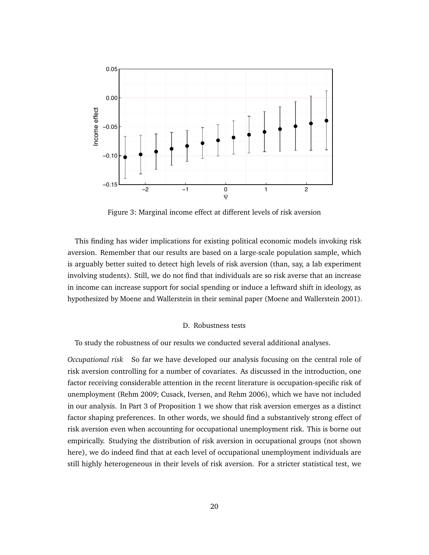

Figure 3: Marginal income effect at different levels of risk aversion

This finding has wider implications for existing political economic models invoking risk aversion. Remember that our results are based on a large-scale population sample, which is arguably better suited to detect high levels of risk aversion (than, say, a lab experiment involving students). Still, we do not find that individuals are so risk averse that an increase in income can increase support for social spending or induce a leftward shift in ideology, as hypothesized by Moene and Wallerstein in their seminal paper (Moene and Wallerstein 2001).

#### D. Robustness tests

To study the robustness of our results we conducted several additional analyses.

*Occupational risk* So far we have developed our analysis focusing on the central role of risk aversion controlling for a number of covariates. As discussed in the introduction, one factor receiving considerable attention in the recent literature is occupation-specific risk of unemployment (Rehm 2009; Cusack, Iversen, and Rehm 2006), which we have not included in our analysis. In Part 3 of Proposition 1 we show that risk aversion emerges as a distinct factor shaping preferences. In other words, we should find a substantively strong effect of risk aversion even when accounting for occupational unemployment risk. This is borne out empirically. Studying the distribution of risk aversion in occupational groups (not shown here), we do indeed find that at each level of occupational unemployment individuals are still highly heterogeneous in their levels of risk aversion. For a stricter statistical test, we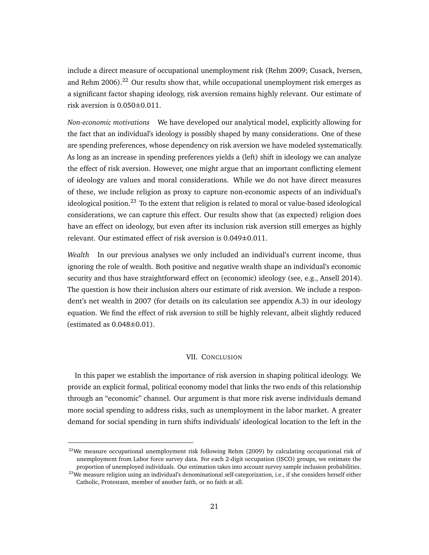include a direct measure of occupational unemployment risk (Rehm 2009; Cusack, Iversen, and Rehm 2006).<sup>22</sup> Our results show that, while occupational unemployment risk emerges as a significant factor shaping ideology, risk aversion remains highly relevant. Our estimate of risk aversion is 0.050*±*0.011.

*Non-economic motivations* We have developed our analytical model, explicitly allowing for the fact that an individual's ideology is possibly shaped by many considerations. One of these are spending preferences, whose dependency on risk aversion we have modeled systematically. As long as an increase in spending preferences yields a (left) shift in ideology we can analyze the effect of risk aversion. However, one might argue that an important conflicting element of ideology are values and moral considerations. While we do not have direct measures of these, we include religion as proxy to capture non-economic aspects of an individual's ideological position.<sup>23</sup> To the extent that religion is related to moral or value-based ideological considerations, we can capture this effect. Our results show that (as expected) religion does have an effect on ideology, but even after its inclusion risk aversion still emerges as highly relevant. Our estimated effect of risk aversion is 0.049*±*0.011.

*Wealth* In our previous analyses we only included an individual's current income, thus ignoring the role of wealth. Both positive and negative wealth shape an individual's economic security and thus have straightforward effect on (economic) ideology (see, e.g., Ansell 2014). The question is how their inclusion alters our estimate of risk aversion. We include a respondent's net wealth in 2007 (for details on its calculation see appendix A.3) in our ideology equation. We find the effect of risk aversion to still be highly relevant, albeit slightly reduced (estimated as 0.048*±*0.01).

#### VII. CONCLUSION

In this paper we establish the importance of risk aversion in shaping political ideology. We provide an explicit formal, political economy model that links the two ends of this relationship through an "economic" channel. Our argument is that more risk averse individuals demand more social spending to address risks, such as unemployment in the labor market. A greater demand for social spending in turn shifts individuals' ideological location to the left in the

 $22$ We measure occupational unemployment risk following Rehm (2009) by calculating occupational risk of unemployment from Labor force survey data. For each 2-digit occupation (ISCO) groups, we estimate the proportion of unemployed individuals. Our estimation takes into account survey sample inclusion probabilities.

<sup>&</sup>lt;sup>23</sup>We measure religion using an individual's denominational self-categorization, i.e., if she considers herself either Catholic, Protestant, member of another faith, or no faith at all.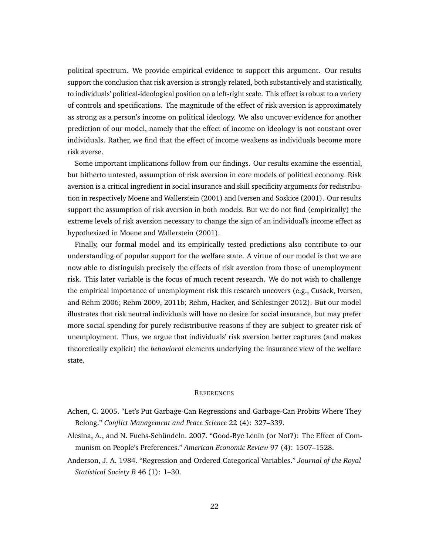political spectrum. We provide empirical evidence to support this argument. Our results support the conclusion that risk aversion is strongly related, both substantively and statistically, to individuals' political-ideological position on a left-right scale. This effect is robust to a variety of controls and specifications. The magnitude of the effect of risk aversion is approximately as strong as a person's income on political ideology. We also uncover evidence for another prediction of our model, namely that the effect of income on ideology is not constant over individuals. Rather, we find that the effect of income weakens as individuals become more risk averse.

Some important implications follow from our findings. Our results examine the essential, but hitherto untested, assumption of risk aversion in core models of political economy. Risk aversion is a critical ingredient in social insurance and skill specificity arguments for redistribution in respectively Moene and Wallerstein (2001) and Iversen and Soskice (2001). Our results support the assumption of risk aversion in both models. But we do not find (empirically) the extreme levels of risk aversion necessary to change the sign of an individual's income effect as hypothesized in Moene and Wallerstein (2001).

Finally, our formal model and its empirically tested predictions also contribute to our understanding of popular support for the welfare state. A virtue of our model is that we are now able to distinguish precisely the effects of risk aversion from those of unemployment risk. This later variable is the focus of much recent research. We do not wish to challenge the empirical importance of unemployment risk this research uncovers (e.g., Cusack, Iversen, and Rehm 2006; Rehm 2009, 2011b; Rehm, Hacker, and Schlesinger 2012). But our model illustrates that risk neutral individuals will have no desire for social insurance, but may prefer more social spending for purely redistributive reasons if they are subject to greater risk of unemployment. Thus, we argue that individuals' risk aversion better captures (and makes theoretically explicit) the *behavioral* elements underlying the insurance view of the welfare state.

## **REFERENCES**

- Achen, C. 2005. "Let's Put Garbage-Can Regressions and Garbage-Can Probits Where They Belong." *Conflict Management and Peace Science* 22 (4): 327–339.
- Alesina, A., and N. Fuchs-Schündeln. 2007. "Good-Bye Lenin (or Not?): The Effect of Communism on People's Preferences." *American Economic Review* 97 (4): 1507–1528.
- Anderson, J. A. 1984. "Regression and Ordered Categorical Variables." *Journal of the Royal Statistical Society B* 46 (1): 1–30.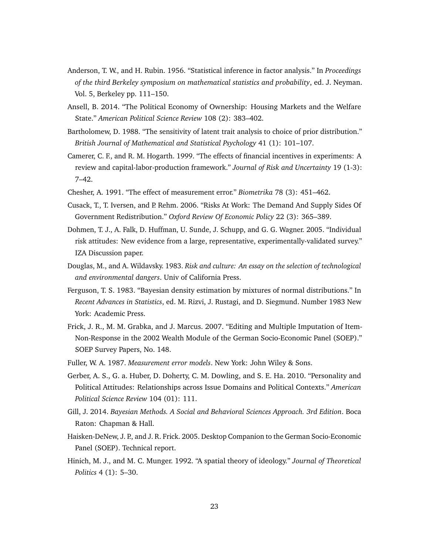- Anderson, T. W., and H. Rubin. 1956. "Statistical inference in factor analysis." In *Proceedings of the third Berkeley symposium on mathematical statistics and probability*, ed. J. Neyman. Vol. 5, Berkeley pp. 111–150.
- Ansell, B. 2014. "The Political Economy of Ownership: Housing Markets and the Welfare State." *American Political Science Review* 108 (2): 383–402.
- Bartholomew, D. 1988. "The sensitivity of latent trait analysis to choice of prior distribution." *British Journal of Mathematical and Statistical Psychology* 41 (1): 101–107.
- Camerer, C. F., and R. M. Hogarth. 1999. "The effects of financial incentives in experiments: A review and capital-labor-production framework." *Journal of Risk and Uncertainty* 19 (1-3): 7–42.
- Chesher, A. 1991. "The effect of measurement error." *Biometrika* 78 (3): 451–462.
- Cusack, T., T. Iversen, and P. Rehm. 2006. "Risks At Work: The Demand And Supply Sides Of Government Redistribution." *Oxford Review Of Economic Policy* 22 (3): 365–389.
- Dohmen, T. J., A. Falk, D. Huffman, U. Sunde, J. Schupp, and G. G. Wagner. 2005. "Individual risk attitudes: New evidence from a large, representative, experimentally-validated survey." IZA Discussion paper.
- Douglas, M., and A. Wildavsky. 1983. *Risk and culture: An essay on the selection of technological and environmental dangers*. Univ of California Press.
- Ferguson, T. S. 1983. "Bayesian density estimation by mixtures of normal distributions." In *Recent Advances in Statistics*, ed. M. Rizvi, J. Rustagi, and D. Siegmund. Number 1983 New York: Academic Press.
- Frick, J. R., M. M. Grabka, and J. Marcus. 2007. "Editing and Multiple Imputation of Item-Non-Response in the 2002 Wealth Module of the German Socio-Economic Panel (SOEP)." SOEP Survey Papers, No. 148.
- Fuller, W. A. 1987. *Measurement error models*. New York: John Wiley & Sons.
- Gerber, A. S., G. a. Huber, D. Doherty, C. M. Dowling, and S. E. Ha. 2010. "Personality and Political Attitudes: Relationships across Issue Domains and Political Contexts." *American Political Science Review* 104 (01): 111.
- Gill, J. 2014. *Bayesian Methods. A Social and Behavioral Sciences Approach. 3rd Edition*. Boca Raton: Chapman & Hall.
- Haisken-DeNew, J. P., and J. R. Frick. 2005. Desktop Companion to the German Socio-Economic Panel (SOEP). Technical report.
- Hinich, M. J., and M. C. Munger. 1992. "A spatial theory of ideology." *Journal of Theoretical Politics* 4 (1): 5–30.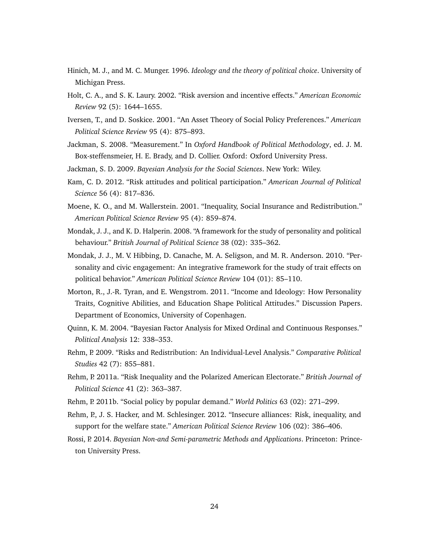- Hinich, M. J., and M. C. Munger. 1996. *Ideology and the theory of political choice*. University of Michigan Press.
- Holt, C. A., and S. K. Laury. 2002. "Risk aversion and incentive effects." *American Economic Review* 92 (5): 1644–1655.
- Iversen, T., and D. Soskice. 2001. "An Asset Theory of Social Policy Preferences." *American Political Science Review* 95 (4): 875–893.
- Jackman, S. 2008. "Measurement." In *Oxford Handbook of Political Methodology*, ed. J. M. Box-steffensmeier, H. E. Brady, and D. Collier. Oxford: Oxford University Press.
- Jackman, S. D. 2009. *Bayesian Analysis for the Social Sciences*. New York: Wiley.
- Kam, C. D. 2012. "Risk attitudes and political participation." *American Journal of Political Science* 56 (4): 817–836.
- Moene, K. O., and M. Wallerstein. 2001. "Inequality, Social Insurance and Redistribution." *American Political Science Review* 95 (4): 859–874.
- Mondak, J. J., and K. D. Halperin. 2008. "A framework for the study of personality and political behaviour." *British Journal of Political Science* 38 (02): 335–362.
- Mondak, J. J., M. V. Hibbing, D. Canache, M. A. Seligson, and M. R. Anderson. 2010. "Personality and civic engagement: An integrative framework for the study of trait effects on political behavior." *American Political Science Review* 104 (01): 85–110.
- Morton, R., J.-R. Tyran, and E. Wengstrom. 2011. "Income and Ideology: How Personality Traits, Cognitive Abilities, and Education Shape Political Attitudes." Discussion Papers. Department of Economics, University of Copenhagen.
- Quinn, K. M. 2004. "Bayesian Factor Analysis for Mixed Ordinal and Continuous Responses." *Political Analysis* 12: 338–353.
- Rehm, P. 2009. "Risks and Redistribution: An Individual-Level Analysis." *Comparative Political Studies* 42 (7): 855–881.
- Rehm, P. 2011a. "Risk Inequality and the Polarized American Electorate." *British Journal of Political Science* 41 (2): 363–387.
- Rehm, P. 2011b. "Social policy by popular demand." *World Politics* 63 (02): 271–299.
- Rehm, P., J. S. Hacker, and M. Schlesinger. 2012. "Insecure alliances: Risk, inequality, and support for the welfare state." *American Political Science Review* 106 (02): 386–406.
- Rossi, P. 2014. *Bayesian Non-and Semi-parametric Methods and Applications*. Princeton: Princeton University Press.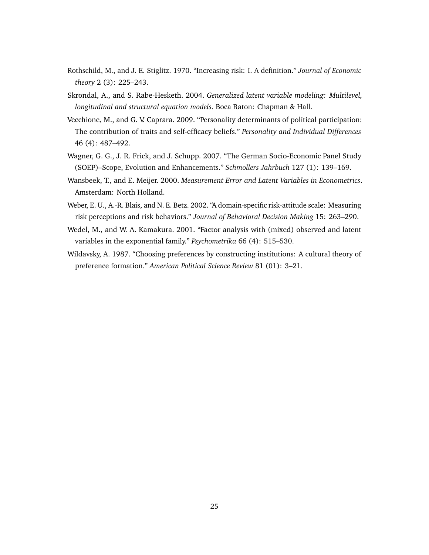- Rothschild, M., and J. E. Stiglitz. 1970. "Increasing risk: I. A definition." *Journal of Economic theory* 2 (3): 225–243.
- Skrondal, A., and S. Rabe-Hesketh. 2004. *Generalized latent variable modeling: Multilevel, longitudinal and structural equation models*. Boca Raton: Chapman & Hall.
- Vecchione, M., and G. V. Caprara. 2009. "Personality determinants of political participation: The contribution of traits and self-efficacy beliefs." *Personality and Individual Differences* 46 (4): 487–492.
- Wagner, G. G., J. R. Frick, and J. Schupp. 2007. "The German Socio-Economic Panel Study (SOEP)–Scope, Evolution and Enhancements." *Schmollers Jahrbuch* 127 (1): 139–169.
- Wansbeek, T., and E. Meijer. 2000. *Measurement Error and Latent Variables in Econometrics*. Amsterdam: North Holland.
- Weber, E. U., A.-R. Blais, and N. E. Betz. 2002. "A domain-specific risk-attitude scale: Measuring risk perceptions and risk behaviors." *Journal of Behavioral Decision Making* 15: 263–290.
- Wedel, M., and W. A. Kamakura. 2001. "Factor analysis with (mixed) observed and latent variables in the exponential family." *Psychometrika* 66 (4): 515–530.
- Wildavsky, A. 1987. "Choosing preferences by constructing institutions: A cultural theory of preference formation." *American Political Science Review* 81 (01): 3–21.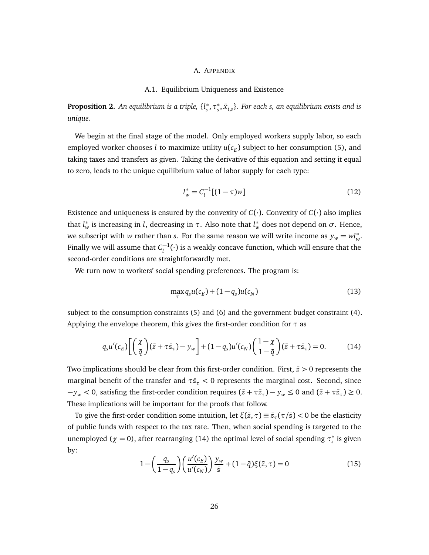#### A. APPENDIX

#### A.1. Equilibrium Uniqueness and Existence

**Proposition 2.** An equilibrium is a triple,  $\{l_s^*, \tau_s^*, \bar{x}_{i,s}\}$ . For each  $s$ , an equilibrium exists and is *unique.*

We begin at the final stage of the model. Only employed workers supply labor, so each employed worker chooses *l* to maximize utility  $u(c<sub>E</sub>)$  subject to her consumption (5), and taking taxes and transfers as given. Taking the derivative of this equation and setting it equal to zero, leads to the unique equilibrium value of labor supply for each type:

$$
l_w^* = C_l^{-1} [(1 - \tau)w]
$$
\n(12)

Existence and uniqueness is ensured by the convexity of  $C(\cdot)$ . Convexity of  $C(\cdot)$  also implies that  $l^*_w$  is increasing in *l*, decreasing in  $\tau$ . Also note that  $l^*_w$  does not depend on  $\sigma$ . Hence, we subscript with *w* rather than *s*. For the same reason we will write income as  $y_w = w l_w^*$ . Finally we will assume that  $C_l^{-1}(\cdot)$  is a weakly concave function, which will ensure that the second-order conditions are straightforwardly met.

We turn now to workers' social spending preferences. The program is:

$$
\max_{\tau} q_s u(c_E) + (1 - q_s) u(c_N) \tag{13}
$$

subject to the consumption constraints (5) and (6) and the government budget constraint (4). Applying the envelope theorem, this gives the first-order condition for  $\tau$  as

$$
q_s u'(c_E) \left[ \left( \frac{\chi}{\bar{q}} \right) (\bar{z} + \tau \bar{z}_\tau) - y_w \right] + (1 - q_s) u'(c_N) \left( \frac{1 - \chi}{1 - \bar{q}} \right) (\bar{z} + \tau \bar{z}_\tau) = 0. \tag{14}
$$

Two implications should be clear from this first-order condition. First,  $\bar{z} > 0$  represents the marginal benefit of the transfer and  $\tau \bar{z}_{\tau} < 0$  represents the marginal cost. Second, since  $y_w$  < 0, satisfing the first-order condition requires  $(\bar{z} + \tau \bar{z}_\tau) - y_w \le 0$  and  $(\bar{z} + \tau \bar{z}_\tau) \ge 0$ . These implications will be important for the proofs that follow.

To give the first-order condition some intuition, let  $\xi(\bar{z}, \tau) \equiv \bar{z}_{\tau}(\tau/\bar{z}) < 0$  be the elasticity of public funds with respect to the tax rate. Then, when social spending is targeted to the unemployed ( $\chi = 0$ ), after rearranging (14) the optimal level of social spending  $\tau_s^*$  is given by:

$$
1 - \left(\frac{q_s}{1 - q_s}\right) \left(\frac{u'(c_E)}{u'(c_N)}\right) \frac{y_w}{\bar{z}} + (1 - \bar{q})\xi(\bar{z}, \tau) = 0 \tag{15}
$$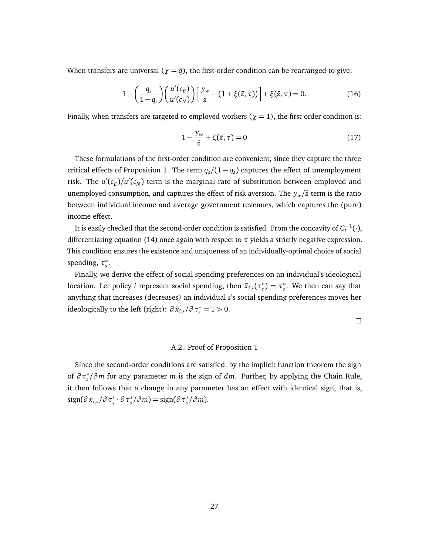When transfers are universal ( $\chi = \bar{q}$ ), the first-order condition can be rearranged to give:

$$
1 - \left(\frac{q_s}{1 - q_s}\right) \left(\frac{u'(c_E)}{u'(c_N)}\right) \left[\frac{y_w}{\bar{z}} - (1 + \xi(\bar{z}, \tau))\right] + \xi(\bar{z}, \tau) = 0. \tag{16}
$$

Finally, when transfers are targeted to employed workers ( $\chi = 1$ ), the first-order condition is:

$$
1 - \frac{y_w}{\bar{z}} + \xi(\bar{z}, \tau) = 0
$$
 (17)

These formulations of the first-order condition are convenient, since they capture the three critical effects of Proposition 1. The term  $q_s/(1-q_s)$  captures the effect of unemployment risk. The  $u'(c_E)/u'(c_N)$  term is the marginal rate of substitution between employed and unemployed consumption, and captures the effect of risk aversion. The  $y_w/\bar{z}$  term is the ratio between individual income and average government revenues, which captures the (pure) income effect.

It is easily checked that the second-order condition is satisfied. From the concavity of  $C_l^{-1}(\cdot),$ differentiating equation (14) once again with respect to  $\tau$  yields a strictly negative expression. This condition ensures the existence and uniqueness of an individually-optimal choice of social spending,  $\tau_s^*$ .

Finally, we derive the effect of social spending preferences on an individual's ideological location. Let policy *i* represent social spending, then  $\bar{x}_{i,s}(\tau_s^*) = \tau_s^*$ . We then can say that anything that increases (decreases) an individual *s*'s social spending preferences moves her ideologically to the left (right):  $\partial \bar{x}_{i,s} / \partial \tau_s^* = 1 > 0$ .

 $\Box$ 

#### A.2. Proof of Proposition 1

Since the second-order conditions are satisfied, by the implicit function theorem the sign of *@ ⌧*⇤ *<sup>s</sup> /@ m* for any parameter *m* is the sign of *dm*. Further, by applying the Chain Rule, it then follows that a change in any parameter has an effect with identical sign, that is,  $sign(\partial \bar{x}_{i,s}/\partial \tau_s^* \cdot \partial \tau_s^*/\partial m) = sign(\partial \tau_s^*/\partial m).$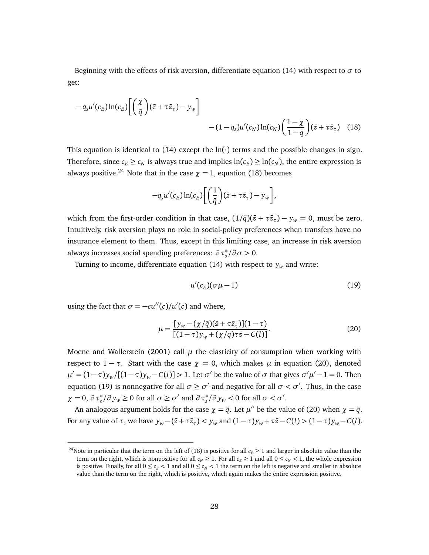Beginning with the effects of risk aversion, differentiate equation (14) with respect to  $\sigma$  to get:

$$
-q_s u'(c_E) \ln(c_E) \left[ \left( \frac{\chi}{\bar{q}} \right) (\bar{z} + \tau \bar{z}_{\tau}) - y_w \right] - (1 - q_s) u'(c_N) \ln(c_N) \left( \frac{1 - \chi}{1 - \bar{q}} \right) (\bar{z} + \tau \bar{z}_{\tau}) \quad (18)
$$

This equation is identical to (14) except the ln(*·*) terms and the possible changes in sign. Therefore, since  $c_E \geq c_N$  is always true and implies  $ln(c_E) \geq ln(c_N)$ , the entire expression is always positive.<sup>24</sup> Note that in the case  $\chi = 1$ , equation (18) becomes

$$
-q_s u'(c_E) \ln(c_E) \left[ \left( \frac{1}{\bar{q}} \right) (\bar{z} + \tau \bar{z}_\tau) - y_w \right],
$$

which from the first-order condition in that case,  $(1/\bar{q})(\bar{z} + \tau \bar{z}_{\tau}) - y_w = 0$ , must be zero. Intuitively, risk aversion plays no role in social-policy preferences when transfers have no insurance element to them. Thus, except in this limiting case, an increase in risk aversion always increases social spending preferences:  $\partial \tau_s^* / \partial \sigma > 0$ .

Turning to income, differentiate equation (14) with respect to  $y_w$  and write:

$$
u'(c_E)(\sigma\mu - 1) \tag{19}
$$

using the fact that  $\sigma = -cu''(c)/u'(c)$  and where,

$$
\mu = \frac{[y_w - (\chi/\bar{q})(\bar{z} + \tau \bar{z}_\tau)](1-\tau)}{[(1-\tau)y_w + (\chi/\bar{q})\tau \bar{z} - C(l)]}.
$$
\n(20)

Moene and Wallerstein (2001) call  $\mu$  the elasticity of consumption when working with respect to  $1 - \tau$ . Start with the case  $\gamma = 0$ , which makes  $\mu$  in equation (20), denoted  $\mu' = (1-\tau)y_w/[(1-\tau)y_w - C(l)] > 1$ . Let  $\sigma'$  be the value of  $\sigma$  that gives  $\sigma'\mu' - 1 = 0$ . Then equation (19) is nonnegative for all  $\sigma \ge \sigma'$  and negative for all  $\sigma < \sigma'$ . Thus, in the case  $\chi = 0$ ,  $\partial \tau_s^* / \partial y_w \ge 0$  for all  $\sigma \ge \sigma'$  and  $\partial \tau_s^* / \partial y_w < 0$  for all  $\sigma < \sigma'$ .

An analogous argument holds for the case  $\chi = \bar{q}$ . Let  $\mu''$  be the value of (20) when  $\chi = \bar{q}$ . For any value of  $\tau$ , we have  $y_w - (\bar{z} + \tau \bar{z}_\tau) < y_w$  and  $(1 - \tau)y_w + \tau \bar{z} - C(l) > (1 - \tau)y_w - C(l)$ .

<sup>&</sup>lt;sup>24</sup>Note in particular that the term on the left of (18) is positive for all  $c_E \ge 1$  and larger in absolute value than the term on the right, which is nonpositive for all  $c_N \geq 1$ . For all  $c_E \geq 1$  and all  $0 \leq c_N < 1$ , the whole expression is positive. Finally, for all  $0 \le c_E < 1$  and all  $0 \le c_N < 1$  the term on the left is negative and smaller in absolute value than the term on the right, which is positive, which again makes the entire expression positive.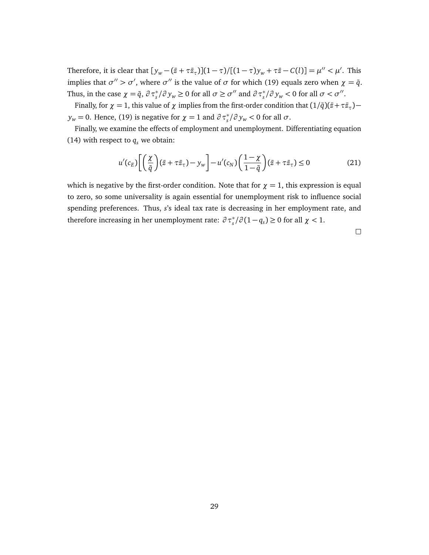Therefore, it is clear that  $[y_w - (\bar{z} + \tau \bar{z}_\tau)](1 - \tau) / [(1 - \tau)y_w + \tau \bar{z} - C(l)] = \mu'' < \mu'$ . This implies that  $\sigma'' > \sigma'$ , where  $\sigma''$  is the value of  $\sigma$  for which (19) equals zero when  $\chi = \bar{q}$ . Thus, in the case  $\chi = \bar{q}$ ,  $\partial \tau_s^* / \partial y_w \ge 0$  for all  $\sigma \ge \sigma''$  and  $\partial \tau_s^* / \partial y_w < 0$  for all  $\sigma < \sigma''$ .

Finally, for  $\chi = 1$ , this value of  $\chi$  implies from the first-order condition that  $(1/\bar{q})(\bar{z}+\tau\bar{z}_{\tau})$  $y_w = 0$ . Hence, (19) is negative for  $\chi = 1$  and  $\partial \tau_s^* / \partial y_w < 0$  for all  $\sigma$ .

Finally, we examine the effects of employment and unemployment. Differentiating equation (14) with respect to  $q_s$  we obtain:

$$
u'(c_E)\left[\left(\frac{\chi}{\bar{q}}\right)(\bar{z}+\tau\bar{z}_{\tau})-y_w\right]-u'(c_N)\left(\frac{1-\chi}{1-\bar{q}}\right)(\bar{z}+\tau\bar{z}_{\tau})\leq 0\tag{21}
$$

which is negative by the first-order condition. Note that for  $\chi = 1$ , this expression is equal to zero, so some universality is again essential for unemployment risk to influence social spending preferences. Thus, *s*'s ideal tax rate is decreasing in her employment rate, and therefore increasing in her unemployment rate:  $\partial \tau_s^* / \partial (1 - q_s) \ge 0$  for all  $\chi < 1$ .

 $\Box$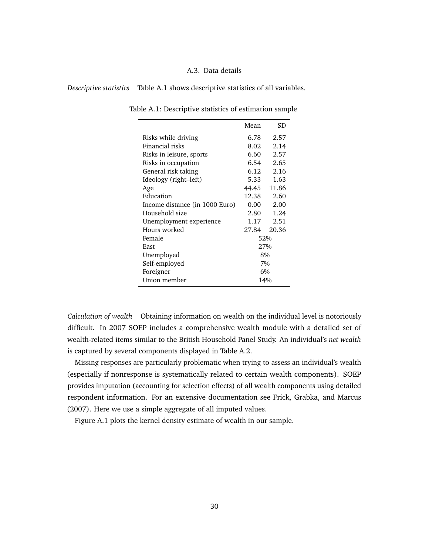# A.3. Data details

|  | <i>Descriptive statistics</i> Table A.1 shows descriptive statistics of all variables. |  |
|--|----------------------------------------------------------------------------------------|--|
|--|----------------------------------------------------------------------------------------|--|

|                                | Mean  | SD    |
|--------------------------------|-------|-------|
| Risks while driving            | 6.78  | 2.57  |
| Financial risks                | 8.02  | 2.14  |
| Risks in leisure, sports       | 6.60  | 2.57  |
| Risks in occupation            | 6.54  | 2.65  |
| General risk taking            | 6.12  | 2.16  |
| Ideology (right-left)          | 5.33  | 1.63  |
| Age                            | 44.45 | 11.86 |
| Education                      | 12.38 | 2.60  |
| Income distance (in 1000 Euro) | 0.00  | 2.00  |
| Household size                 | 2.80  | 1.24  |
| Unemployment experience        | 1.17  | 2.51  |
| Hours worked                   | 27.84 | 20.36 |
| Female                         |       | 52%   |
| East                           |       | 27%   |
| Unemployed                     |       | 8%    |
| Self-employed                  |       | 7%    |
| Foreigner                      |       | 6%    |
| Union member                   |       | 14%   |

Table A.1: Descriptive statistics of estimation sample

*Calculation of wealth* Obtaining information on wealth on the individual level is notoriously difficult. In 2007 SOEP includes a comprehensive wealth module with a detailed set of wealth-related items similar to the British Household Panel Study. An individual's *net wealth* is captured by several components displayed in Table A.2.

Missing responses are particularly problematic when trying to assess an individual's wealth (especially if nonresponse is systematically related to certain wealth components). SOEP provides imputation (accounting for selection effects) of all wealth components using detailed respondent information. For an extensive documentation see Frick, Grabka, and Marcus (2007). Here we use a simple aggregate of all imputed values.

Figure A.1 plots the kernel density estimate of wealth in our sample.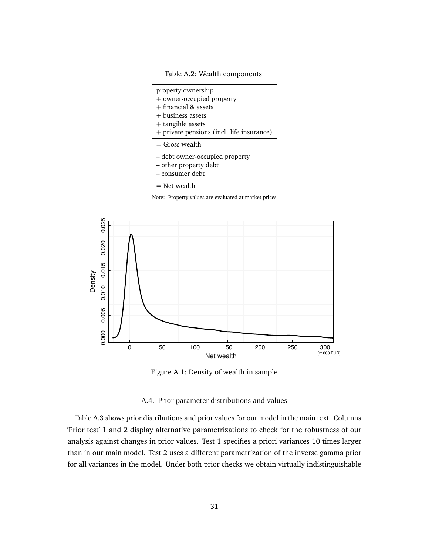Table A.2: Wealth components

- + owner-occupied property
- + financial & assets
- + business assets
- + tangible assets
- + private pensions (incl. life insurance)
- $=$  Gross wealth
- debt owner-occupied property
- other property debt
- consumer debt
- $=$  Net wealth

Note: Property values are evaluated at market prices



Figure A.1: Density of wealth in sample

# A.4. Prior parameter distributions and values

Table A.3 shows prior distributions and prior values for our model in the main text. Columns 'Prior test' 1 and 2 display alternative parametrizations to check for the robustness of our analysis against changes in prior values. Test 1 specifies a priori variances 10 times larger than in our main model. Test 2 uses a different parametrization of the inverse gamma prior for all variances in the model. Under both prior checks we obtain virtually indistinguishable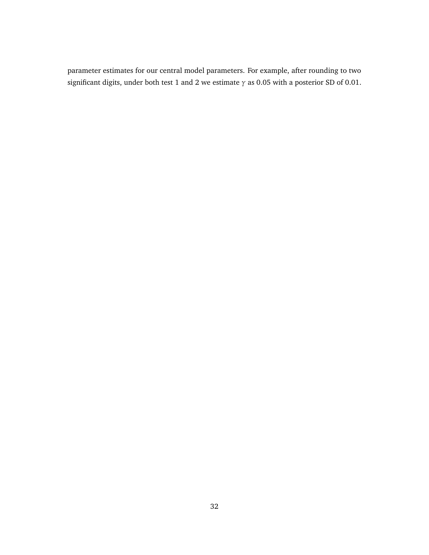parameter estimates for our central model parameters. For example, after rounding to two significant digits, under both test 1 and 2 we estimate  $\gamma$  as 0.05 with a posterior SD of 0.01.